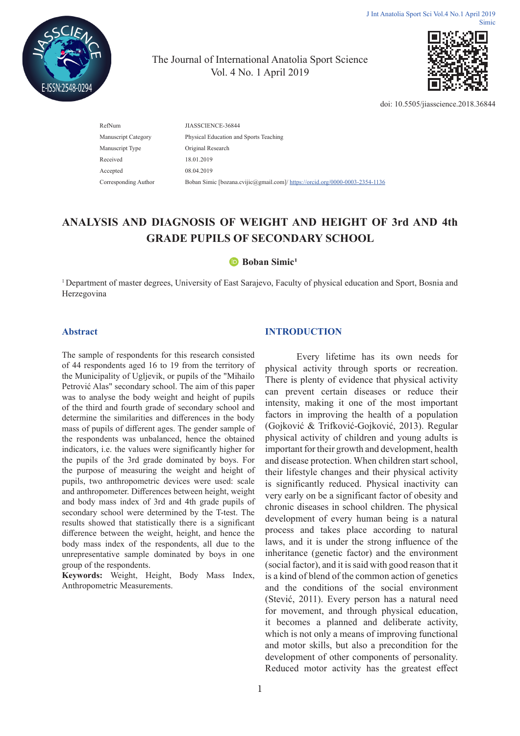

The Journal of International Anatolia Sport Science Vol. 4 No. 1 April 2019



doi: 10.5505/jiasscience.2018.36844

| JIASSCIENCE-36844                                                            |
|------------------------------------------------------------------------------|
| Physical Education and Sports Teaching                                       |
| Original Research                                                            |
| 18.01.2019                                                                   |
| 08.04.2019                                                                   |
| Boban Simic [bozana.cvijic@gmail.com]/ https://orcid.org/0000-0003-2354-1136 |
|                                                                              |

# **ANALYSIS AND DIAGNOSIS OF WEIGHT AND HEIGHT OF 3rd AND 4th GRADE PUPILS OF SECONDARY SCHOOL**

#### **Boban Simic<sup>1</sup>**

<sup>1</sup> Department of master degrees, University of East Sarajevo, Faculty of physical education and Sport, Bosnia and Herzegovina

#### **Abstract**

The sample of respondents for this research consisted of 44 respondents aged 16 to 19 from the territory of the Municipality of Ugljevik, or pupils of the "Mihailo Petrović Alas" secondary school. The aim of this paper was to analyse the body weight and height of pupils of the third and fourth grade of secondary school and determine the similarities and differences in the body mass of pupils of different ages. The gender sample of the respondents was unbalanced, hence the obtained indicators, i.e. the values were significantly higher for the pupils of the 3rd grade dominated by boys. For the purpose of measuring the weight and height of pupils, two anthropometric devices were used: scale and anthropometer. Differences between height, weight and body mass index of 3rd and 4th grade pupils of secondary school were determined by the T-test. The results showed that statistically there is a significant difference between the weight, height, and hence the body mass index of the respondents, all due to the unrepresentative sample dominated by boys in one group of the respondents.

**Keywords:** Weight, Height, Body Mass Index, Anthropometric Measurements.

## **INTRODUCTION**

Every lifetime has its own needs for physical activity through sports or recreation. There is plenty of evidence that physical activity can prevent certain diseases or reduce their intensity, making it one of the most important factors in improving the health of a population (Gojković & Trifković-Gojković, 2013). Regular physical activity of children and young adults is important for their growth and development, health and disease protection. When children start school, their lifestyle changes and their physical activity is significantly reduced. Physical inactivity can very early on be a significant factor of obesity and chronic diseases in school children. The physical development of every human being is a natural process and takes place according to natural laws, and it is under the strong influence of the inheritance (genetic factor) and the environment (social factor), and it is said with good reason that it is a kind of blend of the common action of genetics and the conditions of the social environment (Stević, 2011). Every person has a natural need for movement, and through physical education, it becomes a planned and deliberate activity, which is not only a means of improving functional and motor skills, but also a precondition for the development of other components of personality. Reduced motor activity has the greatest effect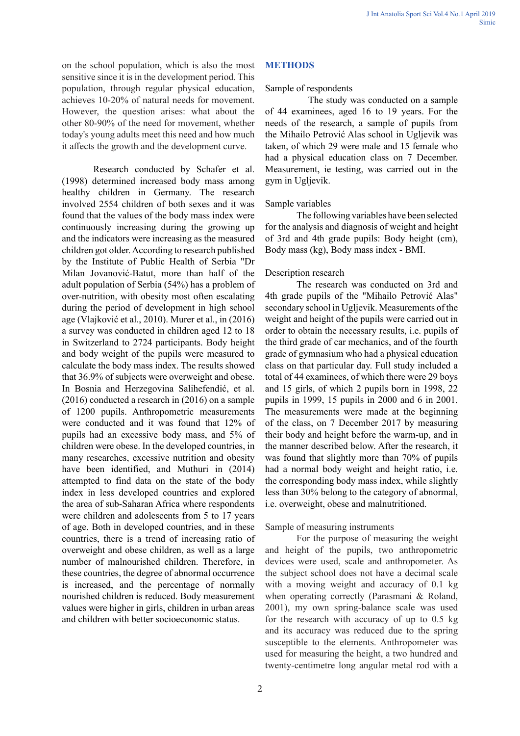on the school population, which is also the most sensitive since it is in the development period. This population, through regular physical education, achieves 10-20% of natural needs for movement. However, the question arises: what about the other 80-90% of the need for movement, whether today's young adults meet this need and how much it affects the growth and the development curve.

Research conducted by Schafer et al. (1998) determined increased body mass among healthy children in Germany. The research involved 2554 children of both sexes and it was found that the values of the body mass index were continuously increasing during the growing up and the indicators were increasing as the measured children got older. According to research published by the Institute of Public Health of Serbia "Dr Milan Jovanović-Batut, more than half of the adult population of Serbia (54%) has a problem of over-nutrition, with obesity most often escalating during the period of development in high school age (Vlajković et al., 2010). Murer et al., in (2016) a survey was conducted in children aged 12 to 18 in Switzerland to 2724 participants. Body height and body weight of the pupils were measured to calculate the body mass index. The results showed that 36.9% of subjects were overweight and obese. In Bosnia and Herzegovina Salihefendić, et al. (2016) conducted a research in (2016) on a sample of 1200 pupils. Anthropometric measurements were conducted and it was found that 12% of pupils had an excessive body mass, and 5% of children were obese. In the developed countries, in many researches, excessive nutrition and obesity have been identified, and Muthuri in (2014) attempted to find data on the state of the body index in less developed countries and explored the area of sub-Saharan Africa where respondents were children and adolescents from 5 to 17 years of age. Both in developed countries, and in these countries, there is a trend of increasing ratio of overweight and obese children, as well as a large number of malnourished children. Therefore, in these countries, the degree of abnormal occurrence is increased, and the percentage of normally nourished children is reduced. Body measurement values were higher in girls, children in urban areas and children with better socioeconomic status.

# **METHODS**

## Sample of respondents

 The study was conducted on a sample of 44 examinees, aged 16 to 19 years. For the needs of the research, a sample of pupils from the Mihailo Petrović Alas school in Ugljevik was taken, of which 29 were male and 15 female who had a physical education class on 7 December. Measurement, ie testing, was carried out in the gym in Ugljevik.

## Sample variables

The following variables have been selected for the analysis and diagnosis of weight and height of 3rd and 4th grade pupils: Body height (cm), Body mass (kg), Body mass index - BMI.

## Description research

The research was conducted on 3rd and 4th grade pupils of the "Mihailo Petrović Alas" secondary school in Ugljevik. Measurements of the weight and height of the pupils were carried out in order to obtain the necessary results, i.e. pupils of the third grade of car mechanics, and of the fourth grade of gymnasium who had a physical education class on that particular day. Full study included a total of 44 examinees, of which there were 29 boys and 15 girls, of which 2 pupils born in 1998, 22 pupils in 1999, 15 pupils in 2000 and 6 in 2001. The measurements were made at the beginning of the class, on 7 December 2017 by measuring their body and height before the warm-up, and in the manner described below. After the research, it was found that slightly more than 70% of pupils had a normal body weight and height ratio, i.e. the corresponding body mass index, while slightly less than 30% belong to the category of abnormal, i.e. overweight, obese and malnutritioned.

# Sample of measuring instruments

For the purpose of measuring the weight and height of the pupils, two anthropometric devices were used, scale and anthropometer. As the subject school does not have a decimal scale with a moving weight and accuracy of 0.1 kg when operating correctly (Parasmani & Roland, 2001), my own spring-balance scale was used for the research with accuracy of up to 0.5 kg and its accuracy was reduced due to the spring susceptible to the elements. Anthropometer was used for measuring the height, a two hundred and twenty-centimetre long angular metal rod with a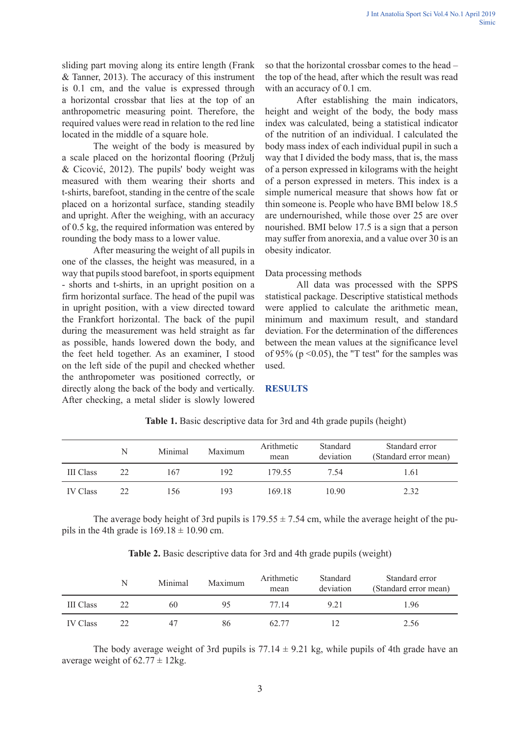sliding part moving along its entire length (Frank & Tanner, 2013). The accuracy of this instrument is 0.1 cm, and the value is expressed through a horizontal crossbar that lies at the top of an anthropometric measuring point. Therefore, the required values were read in relation to the red line located in the middle of a square hole.

The weight of the body is measured by a scale placed on the horizontal flooring (Pržulj & Cicović, 2012). The pupils' body weight was measured with them wearing their shorts and t-shirts, barefoot, standing in the centre of the scale placed on a horizontal surface, standing steadily and upright. After the weighing, with an accuracy of 0.5 kg, the required information was entered by rounding the body mass to a lower value.

After measuring the weight of all pupils in one of the classes, the height was measured, in a way that pupils stood barefoot, in sports equipment - shorts and t-shirts, in an upright position on a firm horizontal surface. The head of the pupil was in upright position, with a view directed toward the Frankfort horizontal. The back of the pupil during the measurement was held straight as far as possible, hands lowered down the body, and the feet held together. As an examiner, I stood on the left side of the pupil and checked whether the anthropometer was positioned correctly, or directly along the back of the body and vertically. After checking, a metal slider is slowly lowered so that the horizontal crossbar comes to the head – the top of the head, after which the result was read with an accuracy of 0.1 cm.

After establishing the main indicators, height and weight of the body, the body mass index was calculated, being a statistical indicator of the nutrition of an individual. I calculated the body mass index of each individual pupil in such a way that I divided the body mass, that is, the mass of a person expressed in kilograms with the height of a person expressed in meters. This index is a simple numerical measure that shows how fat or thin someone is. People who have BMI below 18.5 are undernourished, while those over 25 are over nourished. BMI below 17.5 is a sign that a person may suffer from anorexia, and a value over 30 is an obesity indicator.

Data processing methods

All data was processed with the SPPS statistical package. Descriptive statistical methods were applied to calculate the arithmetic mean, minimum and maximum result, and standard deviation. For the determination of the differences between the mean values at the significance level of 95% ( $p \le 0.05$ ), the "T test" for the samples was used.

#### **RESULTS**

|                  | N  | Minimal | Maximum | Arithmetic<br>mean | Standard<br>deviation | Standard error<br>(Standard error mean) |
|------------------|----|---------|---------|--------------------|-----------------------|-----------------------------------------|
| <b>III</b> Class | 22 | 167     | 192     | 179.55             | 7.54                  | 1.61                                    |
| <b>IV</b> Class  | つつ | 156     | 193     | 169.18             | 10.90                 | 2.32                                    |

**Table 1.** Basic descriptive data for 3rd and 4th grade pupils (height)

The average body height of 3rd pupils is  $179.55 \pm 7.54$  cm, while the average height of the pupils in the 4th grade is  $169.18 \pm 10.90$  cm.

| Table 2. Basic descriptive data for 3rd and 4th grade pupils (weight) |  |  |  |  |  |  |  |  |
|-----------------------------------------------------------------------|--|--|--|--|--|--|--|--|
|-----------------------------------------------------------------------|--|--|--|--|--|--|--|--|

|                  | N  | Minimal | Maximum | Arithmetic<br>mean | Standard<br>deviation | Standard error<br>(Standard error mean) |
|------------------|----|---------|---------|--------------------|-----------------------|-----------------------------------------|
| <b>III</b> Class | 22 | 60      | 95      | 77 14              | 9.21                  | 1.96                                    |
| <b>IV Class</b>  | 22 | 47      | 86      | 62.77              | 12                    | 2.56                                    |

The body average weight of 3rd pupils is  $77.14 \pm 9.21$  kg, while pupils of 4th grade have an average weight of  $62.77 \pm 12$ kg.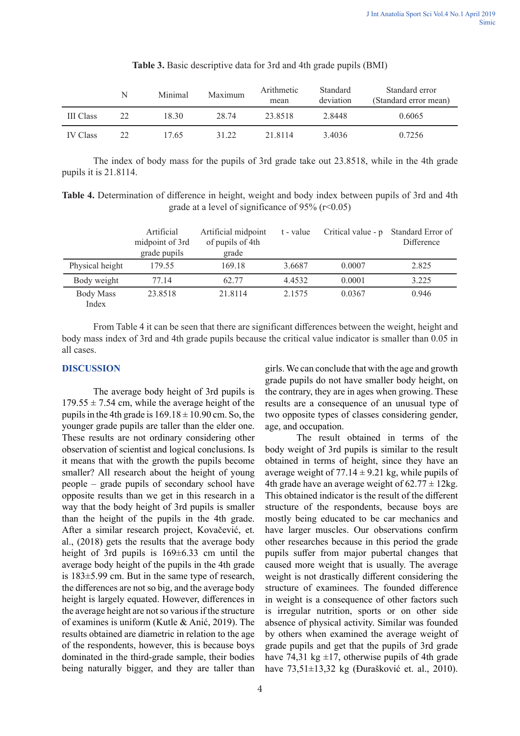|                  | N  | Minimal | Maximum | Arithmetic<br>mean | Standard<br>deviation | Standard error<br>(Standard error mean) |
|------------------|----|---------|---------|--------------------|-----------------------|-----------------------------------------|
| <b>III</b> Class | 22 | 18.30   | 28.74   | 23.8518            | 2.8448                | 0.6065                                  |
| <b>IV Class</b>  | 22 | 17.65   | 31.22   | 21 8114            | 3.4036                | 0.7256                                  |

| Table 3. Basic descriptive data for 3rd and 4th grade pupils (BMI) |  |  |  |  |  |
|--------------------------------------------------------------------|--|--|--|--|--|
|--------------------------------------------------------------------|--|--|--|--|--|

The index of body mass for the pupils of 3rd grade take out 23.8518, while in the 4th grade pupils it is 21.8114.

**Table 4.** Determination of difference in height, weight and body index between pupils of 3rd and 4th grade at a level of significance of 95% (r˂0.05)

|                           | Artificial<br>midpoint of 3rd<br>grade pupils | Artificial midpoint<br>of pupils of 4th<br>grade | t - value | Critical value - p | Standard Error of<br>Difference |
|---------------------------|-----------------------------------------------|--------------------------------------------------|-----------|--------------------|---------------------------------|
| Physical height           | 179.55                                        | 169.18                                           | 3.6687    | 0.0007             | 2.825                           |
| Body weight               | 77.14                                         | 62.77                                            | 4.4532    | 0.0001             | 3.225                           |
| <b>Body Mass</b><br>Index | 23.8518                                       | 21.8114                                          | 2.1575    | 0.0367             | 0.946                           |

From Table 4 it can be seen that there are significant differences between the weight, height and body mass index of 3rd and 4th grade pupils because the critical value indicator is smaller than 0.05 in all cases.

## **DISCUSSION**

The average body height of 3rd pupils is  $179.55 \pm 7.54$  cm, while the average height of the pupils in the 4th grade is  $169.18 \pm 10.90$  cm. So, the younger grade pupils are taller than the elder one. These results are not ordinary considering other observation of scientist and logical conclusions. Is it means that with the growth the pupils become smaller? All research about the height of young people – grade pupils of secondary school have opposite results than we get in this research in a way that the body height of 3rd pupils is smaller than the height of the pupils in the 4th grade. After a similar research project, Kovačević, et. al., (2018) gets the results that the average body height of 3rd pupils is 169±6.33 cm until the average body height of the pupils in the 4th grade is 183±5.99 cm. But in the same type of research, the differences are not so big, and the average body height is largely equated. However, differences in the average height are not so various if the structure of examines is uniform (Kutle & Anić, 2019). The results obtained are diametric in relation to the age of the respondents, however, this is because boys dominated in the third-grade sample, their bodies being naturally bigger, and they are taller than girls. We can conclude that with the age and growth grade pupils do not have smaller body height, on the contrary, they are in ages when growing. These results are a consequence of an unusual type of two opposite types of classes considering gender, age, and occupation.

The result obtained in terms of the body weight of 3rd pupils is similar to the result obtained in terms of height, since they have an average weight of  $77.14 \pm 9.21$  kg, while pupils of 4th grade have an average weight of  $62.77 \pm 12$ kg. This obtained indicator is the result of the different structure of the respondents, because boys are mostly being educated to be car mechanics and have larger muscles. Our observations confirm other researches because in this period the grade pupils suffer from major pubertal changes that caused more weight that is usually. The average weight is not drastically different considering the structure of examinees. The founded difference in weight is a consequence of other factors such is irregular nutrition, sports or on other side absence of physical activity. Similar was founded by others when examined the average weight of grade pupils and get that the pupils of 3rd grade have 74,31 kg  $\pm$ 17, otherwise pupils of 4th grade have 73,51±13,32 kg (Đurašković et. al., 2010).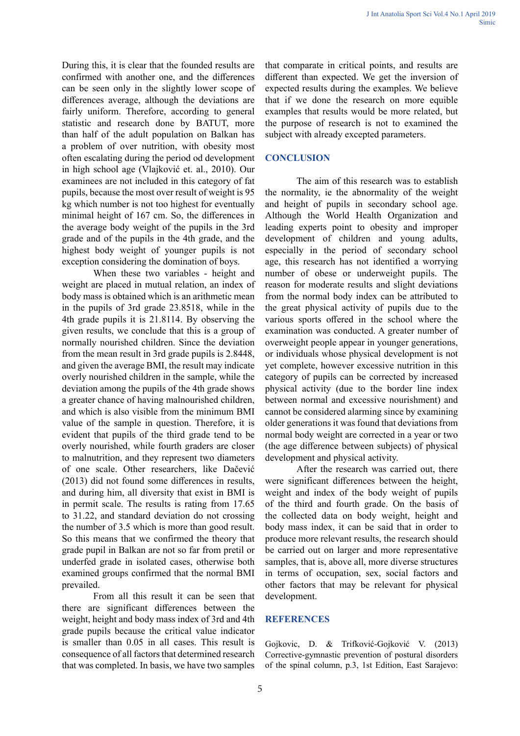During this, it is clear that the founded results are confirmed with another one, and the differences can be seen only in the slightly lower scope of differences average, although the deviations are fairly uniform. Therefore, according to general statistic and research done by BATUT, more than half of the adult population on Balkan has a problem of over nutrition, with obesity most often escalating during the period od development in high school age (Vlajković et. al., 2010). Our examinees are not included in this category of fat pupils, because the most over result of weight is 95 kg which number is not too highest for eventually minimal height of 167 cm. So, the differences in the average body weight of the pupils in the 3rd grade and of the pupils in the 4th grade, and the highest body weight of younger pupils is not exception considering the domination of boys.

When these two variables - height and weight are placed in mutual relation, an index of body mass is obtained which is an arithmetic mean in the pupils of 3rd grade 23.8518, while in the 4th grade pupils it is 21.8114. By observing the given results, we conclude that this is a group of normally nourished children. Since the deviation from the mean result in 3rd grade pupils is 2.8448, and given the average BMI, the result may indicate overly nourished children in the sample, while the deviation among the pupils of the 4th grade shows a greater chance of having malnourished children, and which is also visible from the minimum BMI value of the sample in question. Therefore, it is evident that pupils of the third grade tend to be overly nourished, while fourth graders are closer to malnutrition, and they represent two diameters of one scale. Other researchers, like Dačević (2013) did not found some differences in results, and during him, all diversity that exist in BMI is in permit scale. The results is rating from 17.65 to 31.22, and standard deviation do not crossing the number of 3.5 which is more than good result. So this means that we confirmed the theory that grade pupil in Balkan are not so far from pretil or underfed grade in isolated cases, otherwise both examined groups confirmed that the normal BMI prevailed.

From all this result it can be seen that there are significant differences between the weight, height and body mass index of 3rd and 4th grade pupils because the critical value indicator is smaller than 0.05 in all cases. This result is consequence of all factors that determined research that was completed. In basis, we have two samples that comparate in critical points, and results are different than expected. We get the inversion of expected results during the examples. We believe that if we done the research on more equible examples that results would be more related, but the purpose of research is not to examined the subject with already excepted parameters.

## **CONCLUSION**

The aim of this research was to establish the normality, ie the abnormality of the weight and height of pupils in secondary school age. Although the World Health Organization and leading experts point to obesity and improper development of children and young adults, especially in the period of secondary school age, this research has not identified a worrying number of obese or underweight pupils. The reason for moderate results and slight deviations from the normal body index can be attributed to the great physical activity of pupils due to the various sports offered in the school where the examination was conducted. A greater number of overweight people appear in younger generations, or individuals whose physical development is not yet complete, however excessive nutrition in this category of pupils can be corrected by increased physical activity (due to the border line index between normal and excessive nourishment) and cannot be considered alarming since by examining older generations it was found that deviations from normal body weight are corrected in a year or two (the age difference between subjects) of physical development and physical activity.

After the research was carried out, there were significant differences between the height, weight and index of the body weight of pupils of the third and fourth grade. On the basis of the collected data on body weight, height and body mass index, it can be said that in order to produce more relevant results, the research should be carried out on larger and more representative samples, that is, above all, more diverse structures in terms of occupation, sex, social factors and other factors that may be relevant for physical development.

#### **REFERENCES**

Gojkovic, D. & Trifković-Gojković V. (2013) Corrective-gymnastic prevention of postural disorders of the spinal column, p.3, 1st Edition, East Sarajevo: